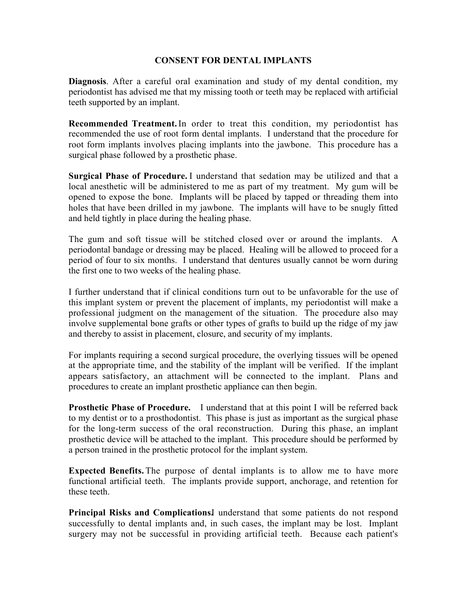## **CONSENT FOR DENTAL IMPLANTS**

**Diagnosis**. After a careful oral examination and study of my dental condition, my periodontist has advised me that my missing tooth or teeth may be replaced with artificial teeth supported by an implant.

**Recommended Treatment.**In order to treat this condition, my periodontist has recommended the use of root form dental implants. I understand that the procedure for root form implants involves placing implants into the jawbone. This procedure has a surgical phase followed by a prosthetic phase.

**Surgical Phase of Procedure.** I understand that sedation may be utilized and that a local anesthetic will be administered to me as part of my treatment. My gum will be opened to expose the bone. Implants will be placed by tapped or threading them into holes that have been drilled in my jawbone. The implants will have to be snugly fitted and held tightly in place during the healing phase.

The gum and soft tissue will be stitched closed over or around the implants. A periodontal bandage or dressing may be placed. Healing will be allowed to proceed for a period of four to six months. I understand that dentures usually cannot be worn during the first one to two weeks of the healing phase.

I further understand that if clinical conditions turn out to be unfavorable for the use of this implant system or prevent the placement of implants, my periodontist will make a professional judgment on the management of the situation. The procedure also may involve supplemental bone grafts or other types of grafts to build up the ridge of my jaw and thereby to assist in placement, closure, and security of my implants.

For implants requiring a second surgical procedure, the overlying tissues will be opened at the appropriate time, and the stability of the implant will be verified. If the implant appears satisfactory, an attachment will be connected to the implant. Plans and procedures to create an implant prosthetic appliance can then begin.

**Prosthetic Phase of Procedure.** I understand that at this point I will be referred back to my dentist or to a prosthodontist. This phase is just as important as the surgical phase for the long-term success of the oral reconstruction. During this phase, an implant prosthetic device will be attached to the implant. This procedure should be performed by a person trained in the prosthetic protocol for the implant system.

**Expected Benefits.** The purpose of dental implants is to allow me to have more functional artificial teeth. The implants provide support, anchorage, and retention for these teeth.

**Principal Risks and ComplicationsI** understand that some patients do not respond successfully to dental implants and, in such cases, the implant may be lost. Implant surgery may not be successful in providing artificial teeth. Because each patient's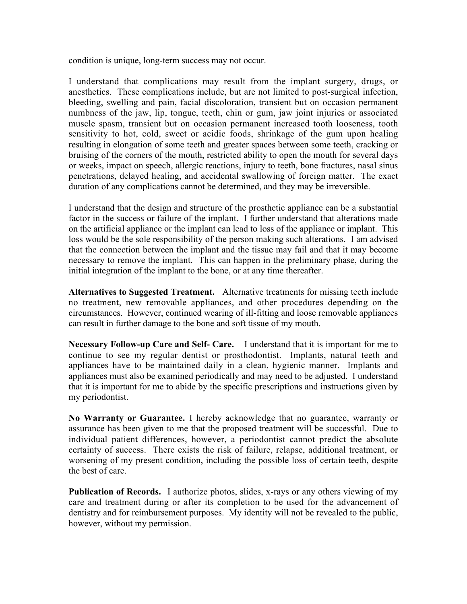condition is unique, long-term success may not occur.

I understand that complications may result from the implant surgery, drugs, or anesthetics. These complications include, but are not limited to post-surgical infection, bleeding, swelling and pain, facial discoloration, transient but on occasion permanent numbness of the jaw, lip, tongue, teeth, chin or gum, jaw joint injuries or associated muscle spasm, transient but on occasion permanent increased tooth looseness, tooth sensitivity to hot, cold, sweet or acidic foods, shrinkage of the gum upon healing resulting in elongation of some teeth and greater spaces between some teeth, cracking or bruising of the corners of the mouth, restricted ability to open the mouth for several days or weeks, impact on speech, allergic reactions, injury to teeth, bone fractures, nasal sinus penetrations, delayed healing, and accidental swallowing of foreign matter. The exact duration of any complications cannot be determined, and they may be irreversible.

I understand that the design and structure of the prosthetic appliance can be a substantial factor in the success or failure of the implant. I further understand that alterations made on the artificial appliance or the implant can lead to loss of the appliance or implant. This loss would be the sole responsibility of the person making such alterations. I am advised that the connection between the implant and the tissue may fail and that it may become necessary to remove the implant. This can happen in the preliminary phase, during the initial integration of the implant to the bone, or at any time thereafter.

**Alternatives to Suggested Treatment.** Alternative treatments for missing teeth include no treatment, new removable appliances, and other procedures depending on the circumstances. However, continued wearing of ill-fitting and loose removable appliances can result in further damage to the bone and soft tissue of my mouth.

**Necessary Follow-up Care and Self- Care.** I understand that it is important for me to continue to see my regular dentist or prosthodontist. Implants, natural teeth and appliances have to be maintained daily in a clean, hygienic manner. Implants and appliances must also be examined periodically and may need to be adjusted. I understand that it is important for me to abide by the specific prescriptions and instructions given by my periodontist.

**No Warranty or Guarantee.** I hereby acknowledge that no guarantee, warranty or assurance has been given to me that the proposed treatment will be successful. Due to individual patient differences, however, a periodontist cannot predict the absolute certainty of success. There exists the risk of failure, relapse, additional treatment, or worsening of my present condition, including the possible loss of certain teeth, despite the best of care.

**Publication of Records.** I authorize photos, slides, x-rays or any others viewing of my care and treatment during or after its completion to be used for the advancement of dentistry and for reimbursement purposes. My identity will not be revealed to the public, however, without my permission.